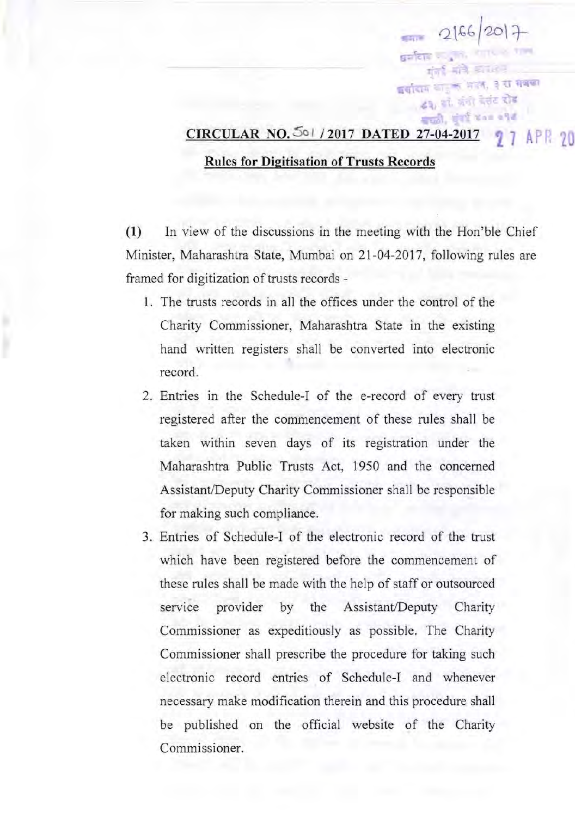## **CIRCULAR NO.**  $501/2017$  DATED 27-04-2017 **Rules for Digitisation of Trusts Records**

 $2166/2017$ 

**THE ATT FILE** बर्बादाम का इन मारत, ३ सा सकता द्रश्च, बाँ, जैसी बेसेंट दोड

**BRICK WATER ATTACK** 

**(1)** In view of the discussions in the meeting with the Hon'ble Chief Minister, Maharashtra State, Mumbai on 21-04-2017, following rules are framed for digitization of trusts records

- 1. The trusts records in all the offices under the control of the Charity Commissioner, Maharashtra State in the existing hand written registers shall be converted into electronic record.
- 2. Entries in the Schedule-I of the e-record of every trust registered after the commencement of these rules shall be taken within seven days of its registration under the Maharashtra Public Trusts Act, 1950 and the concerned Assistant/Deputy Charity Commissioner shall be responsible for making such compliance.
- 3. Entries of Schedule-I of the electronic record of the trust which have been registered before the commencement of these rules shall be made with the help of staff or outsourced service provider by the Assistant/Deputy Charity Commissioner as expeditiously as possible. The Charity Commissioner shall prescribe the procedure for taking such electronic record entries of Schedule-I and whenever necessary make modification therein and this procedure shall be published on the official website of the Charity Commissioner.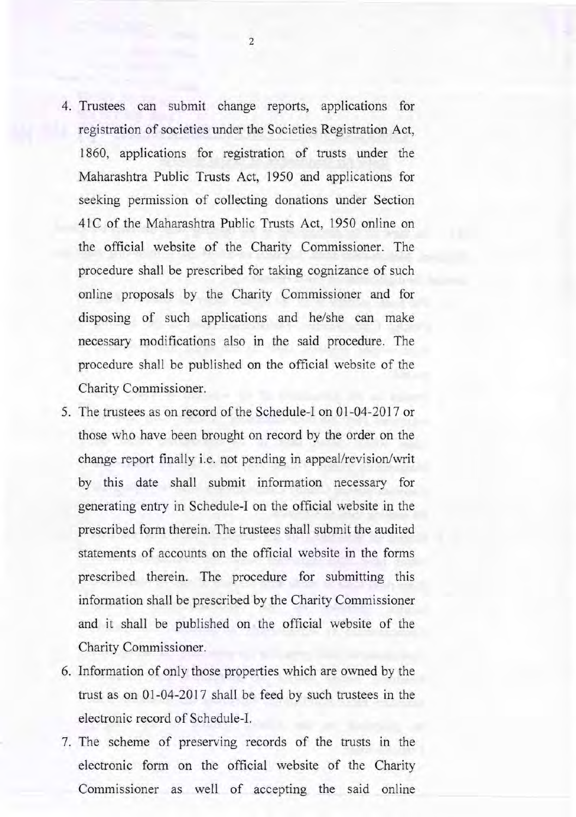- 4. Trustees can submit change reports, applications for registration of societies under the Societies Registration Act, 1860, applications for registration of trusts under the Maharashtra Public Trusts Act, 1950 and applications for seeking permission of collecting donations under Section 41C of the Maharashtra Public Trusts Act, 1950 online on the official website of the Charity Commissioner. The procedure shall be prescribed for taking cognizance of such online proposals by the Charity Commissioner and for disposing of such applications and he/she can make necessary modifications also in the said procedure. The procedure shall be published on the official website of the Charity Commissioner.
- 5. The trustees as on record of the Schedule-I on 01-04-2017 or those who have been brought on record by the order on the change report finally i.e. not pending in appeal/revision/writ by this date shall submit information necessary for generating entry in Schedule-Ion the official website in the prescribed form therein. The trustees shall submit the audited statements of accounts on the official website in the forms prescribed therein. The procedure for submitting this information shall be prescribed by the Charity Commissioner and it shall be published on the official website of the Charity Commissioner.
- 6. Information of only those properties which are owned by the trust as on 01-04-2017 shall be feed by such trustees in the electronic record of Schedule-I.
- 7. The scheme of preserving records of the trusts in the electronic form on the official website of the Charity Commissioner as well of accepting the said online

2